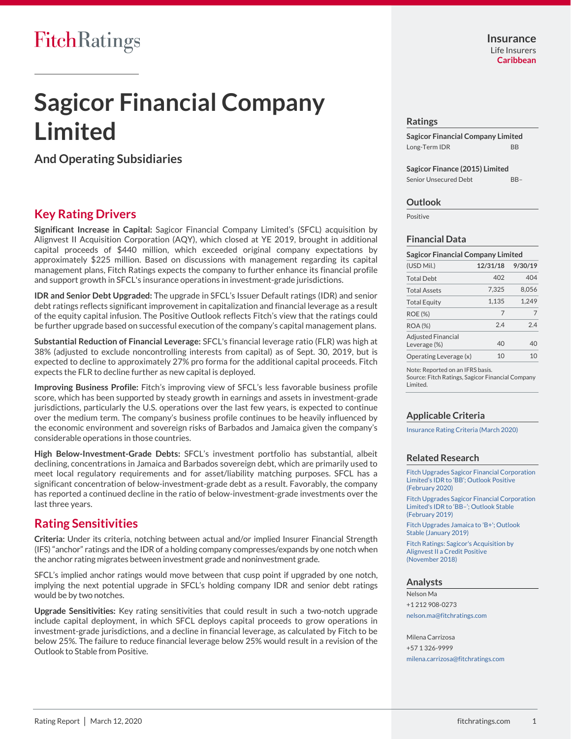# **Sagicor Financial Company Limited**

**And Operating Subsidiaries**

# **Key Rating Drivers**

**Significant Increase in Capital:** Sagicor Financial Company Limited's (SFCL) acquisition by Alignvest II Acquisition Corporation (AQY), which closed at YE 2019, brought in additional capital proceeds of \$440 million, which exceeded original company expectations by approximately \$225 million. Based on discussions with management regarding its capital management plans, Fitch Ratings expects the company to further enhance its financial profile and support growth in SFCL's insurance operations in investment-grade jurisdictions.

**IDR and Senior Debt Upgraded:** The upgrade in SFCL's Issuer Default ratings (IDR) and senior debt ratings reflects significant improvement in capitalization and financial leverage as a result of the equity capital infusion. The Positive Outlook reflects Fitch's view that the ratings could be further upgrade based on successful execution of the company's capital management plans.

**Substantial Reduction of Financial Leverage:** SFCL's financial leverage ratio (FLR) was high at 38% (adjusted to exclude noncontrolling interests from capital) as of Sept. 30, 2019, but is expected to decline to approximately 27% pro forma for the additional capital proceeds. Fitch expects the FLR to decline further as new capital is deployed.

**Improving Business Profile:** Fitch's improving view of SFCL's less favorable business profile score, which has been supported by steady growth in earnings and assets in investment-grade jurisdictions, particularly the U.S. operations over the last few years, is expected to continue over the medium term. The company's business profile continues to be heavily influenced by the economic environment and sovereign risks of Barbados and Jamaica given the company's considerable operations in those countries.

**High Below-Investment-Grade Debts:** SFCL's investment portfolio has substantial, albeit declining, concentrations in Jamaica and Barbados sovereign debt, which are primarily used to meet local regulatory requirements and for asset/liability matching purposes. SFCL has a significant concentration of below-investment-grade debt as a result. Favorably, the company has reported a continued decline in the ratio of below-investment-grade investments over the last three years.

# **Rating Sensitivities**

**Criteria:** Under its criteria, notching between actual and/or implied Insurer Financial Strength (IFS) "anchor" ratings and the IDR of a holding company compresses/expands by one notch when the anchor rating migrates between investment grade and noninvestment grade.

SFCL's implied anchor ratings would move between that cusp point if upgraded by one notch, implying the next potential upgrade in SFCL's holding company IDR and senior debt ratings would be by two notches.

**Upgrade Sensitivities:** Key rating sensitivities that could result in such a two-notch upgrade include capital deployment, in which SFCL deploys capital proceeds to grow operations in investment-grade jurisdictions, and a decline in financial leverage, as calculated by Fitch to be below 25%. The failure to reduce financial leverage below 25% would result in a revision of the Outlook to Stable from Positive.

#### **Ratings**

**Sagicor Financial Company Limited**  Long-Term IDR BB

**Sagicor Finance (2015) Limited** Senior Unsecured Debt BB-

#### **Outlook**

Positive

#### **Financial Data**

| <b>Sagicor Financial Company Limited</b>  |          |         |  |  |  |  |  |  |
|-------------------------------------------|----------|---------|--|--|--|--|--|--|
| (USD Mil.)                                | 12/31/18 | 9/30/19 |  |  |  |  |  |  |
| <b>Total Debt</b>                         | 402      | 404     |  |  |  |  |  |  |
| <b>Total Assets</b>                       | 7.325    | 8.056   |  |  |  |  |  |  |
| <b>Total Equity</b>                       | 1.135    | 1.249   |  |  |  |  |  |  |
| <b>ROE (%)</b>                            | 7        | 7       |  |  |  |  |  |  |
| <b>ROA (%)</b>                            | 24       | 24      |  |  |  |  |  |  |
| <b>Adjusted Financial</b><br>Leverage (%) | 40       | 40      |  |  |  |  |  |  |
| Operating Leverage (x)                    | 10       | 10      |  |  |  |  |  |  |
|                                           |          |         |  |  |  |  |  |  |

Note: Reported on an IFRS basis. Source: Fitch Ratings, Sagicor Financial Company Limited.

#### **Applicable Criteria**

Insurance Rating Criteria (March 2020)

#### **Related Research**

Fitch Upgrades Sagicor Financial Corporation Limited's IDR to 'BB'; Outlook Positive (February 2020)

Fitch Upgrades Sagicor Financial Corporation Limited's IDR to 'BB–'; Outlook Stable (February 2019)

Fitch Upgrades Jamaica to 'B+'; Outlook Stable (January 2019)

Fitch Ratings: Sagicor's Acquisition by Alignvest II a Credit Positive (November 2018)

#### **Analysts**

Nelson Ma +1 212 908-0273 nelson.ma@fitchratings.com

Milena Carrizosa +57 1 326-9999 milena.carrizosa@fitchratings.com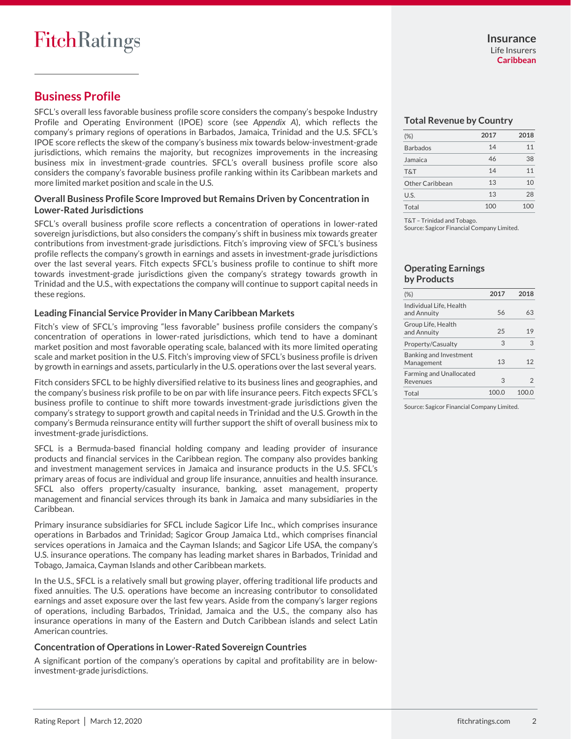# **Business Profile**

SFCL's overall less favorable business profile score considers the company's bespoke Industry Profile and Operating Environment (IPOE) score (see *Appendix A*), which reflects the company's primary regions of operations in Barbados, Jamaica, Trinidad and the U.S. SFCL's IPOE score reflects the skew of the company's business mix towards below-investment-grade jurisdictions, which remains the majority, but recognizes improvements in the increasing business mix in investment-grade countries. SFCL's overall business profile score also considers the company's favorable business profile ranking within its Caribbean markets and more limited market position and scale in the U.S.

#### **Overall Business Profile Score Improved but Remains Driven by Concentration in Lower-Rated Jurisdictions**

SFCL's overall business profile score reflects a concentration of operations in lower-rated sovereign jurisdictions, but also considers the company's shift in business mix towards greater contributions from investment-grade jurisdictions. Fitch's improving view of SFCL's business profile reflects the company's growth in earnings and assets in investment-grade jurisdictions over the last several years. Fitch expects SFCL's business profile to continue to shift more towards investment-grade jurisdictions given the company's strategy towards growth in Trinidad and the U.S., with expectations the company will continue to support capital needs in these regions.

## **Leading Financial Service Provider in Many Caribbean Markets**

Fitch's view of SFCL's improving "less favorable" business profile considers the company's concentration of operations in lower-rated jurisdictions, which tend to have a dominant market position and most favorable operating scale, balanced with its more limited operating scale and market position in the U.S. Fitch's improving view of SFCL's business profile is driven by growth in earnings and assets, particularly in the U.S. operations over the last several years.

Fitch considers SFCL to be highly diversified relative to its business lines and geographies, and the company's business risk profile to be on par with life insurance peers. Fitch expects SFCL's business profile to continue to shift more towards investment-grade jurisdictions given the company's strategy to support growth and capital needs in Trinidad and the U.S. Growth in the company's Bermuda reinsurance entity will further support the shift of overall business mix to investment-grade jurisdictions.

SFCL is a Bermuda-based financial holding company and leading provider of insurance products and financial services in the Caribbean region. The company also provides banking and investment management services in Jamaica and insurance products in the U.S. SFCL's primary areas of focus are individual and group life insurance, annuities and health insurance. SFCL also offers property/casualty insurance, banking, asset management, property management and financial services through its bank in Jamaica and many subsidiaries in the Caribbean.

Primary insurance subsidiaries for SFCL include Sagicor Life Inc., which comprises insurance operations in Barbados and Trinidad; Sagicor Group Jamaica Ltd., which comprises financial services operations in Jamaica and the Cayman Islands; and Sagicor Life USA, the company's U.S. insurance operations. The company has leading market shares in Barbados, Trinidad and Tobago, Jamaica, Cayman Islands and other Caribbean markets.

In the U.S., SFCL is a relatively small but growing player, offering traditional life products and fixed annuities. The U.S. operations have become an increasing contributor to consolidated earnings and asset exposure over the last few years. Aside from the company's larger regions of operations, including Barbados, Trinidad, Jamaica and the U.S., the company also has insurance operations in many of the Eastern and Dutch Caribbean islands and select Latin American countries.

#### **Concentration of Operations in Lower-Rated Sovereign Countries**

A significant portion of the company's operations by capital and profitability are in belowinvestment-grade jurisdictions.

#### **Total Revenue by Country**

| $(\%)$          | 2017 | 2018 |
|-----------------|------|------|
| <b>Barbados</b> | 14   | 11   |
| Jamaica         | 46   | 38   |
| T&T             | 14   | 11   |
| Other Caribbean | 13   | 10   |
| U.S.            | 13   | 28   |
| Total           | 100  | 100  |

T&T – Trinidad and Tobago.

Source: Sagicor Financial Company Limited.

#### **Operating Earnings by Products**

| (%)                                        | 2017 | 2018 |
|--------------------------------------------|------|------|
| Individual Life, Health<br>and Annuity     | 56   | 63   |
| Group Life, Health<br>and Annuity          | 25   | 19   |
| Property/Casualty                          | 3    | З    |
| Banking and Investment<br>Management       | 13   | 12   |
| <b>Farming and Unallocated</b><br>Revenues | 3    | 2    |
| Total                                      | 100  |      |

Source: Sagicor Financial Company Limited.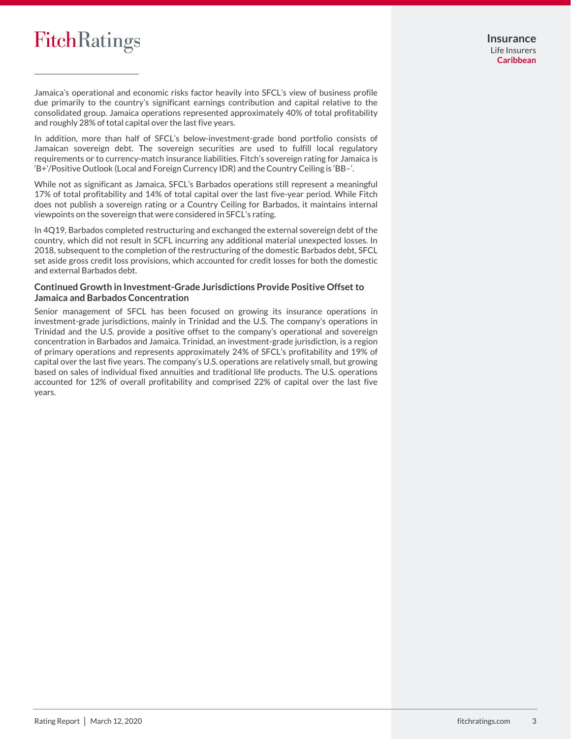Jamaica's operational and economic risks factor heavily into SFCL's view of business profile due primarily to the country's significant earnings contribution and capital relative to the consolidated group. Jamaica operations represented approximately 40% of total profitability and roughly 28% of total capital over the last five years.

In addition, more than half of SFCL's below-investment-grade bond portfolio consists of Jamaican sovereign debt. The sovereign securities are used to fulfill local regulatory requirements or to currency-match insurance liabilities. Fitch's sovereign rating for Jamaica is 'B+'/Positive Outlook (Local and Foreign Currency IDR) and the Country Ceiling is 'BB–'.

While not as significant as Jamaica, SFCL's Barbados operations still represent a meaningful 17% of total profitability and 14% of total capital over the last five-year period. While Fitch does not publish a sovereign rating or a Country Ceiling for Barbados, it maintains internal viewpoints on the sovereign that were considered in SFCL's rating.

In 4Q19, Barbados completed restructuring and exchanged the external sovereign debt of the country, which did not result in SCFL incurring any additional material unexpected losses. In 2018, subsequent to the completion of the restructuring of the domestic Barbados debt, SFCL set aside gross credit loss provisions, which accounted for credit losses for both the domestic and external Barbados debt.

## **Continued Growth in Investment-Grade Jurisdictions Provide Positive Offset to Jamaica and Barbados Concentration**

Senior management of SFCL has been focused on growing its insurance operations in investment-grade jurisdictions, mainly in Trinidad and the U.S. The company's operations in Trinidad and the U.S. provide a positive offset to the company's operational and sovereign concentration in Barbados and Jamaica. Trinidad, an investment-grade jurisdiction, is a region of primary operations and represents approximately 24% of SFCL's profitability and 19% of capital over the last five years. The company's U.S. operations are relatively small, but growing based on sales of individual fixed annuities and traditional life products. The U.S. operations accounted for 12% of overall profitability and comprised 22% of capital over the last five years.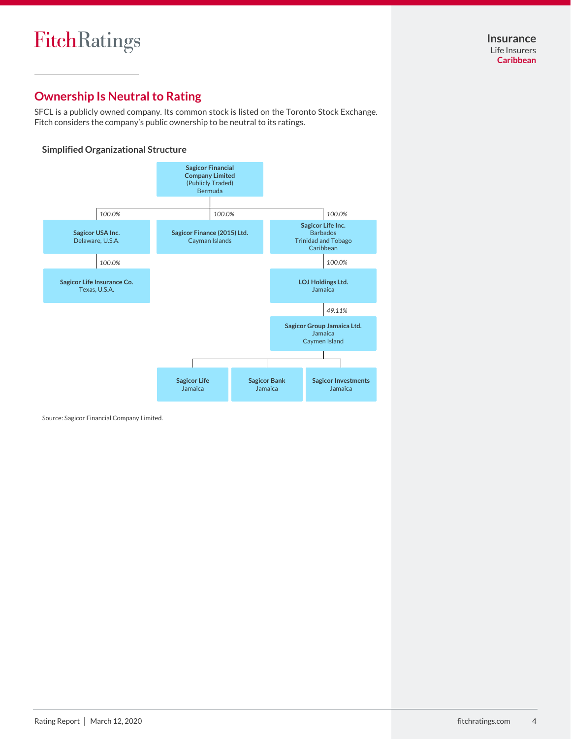# **Ownership Is Neutral to Rating**

SFCL is a publicly owned company. Its common stock is listed on the Toronto Stock Exchange. Fitch considers the company's public ownership to be neutral to its ratings.

## **Simplified Organizational Structure**



Source: Sagicor Financial Company Limited.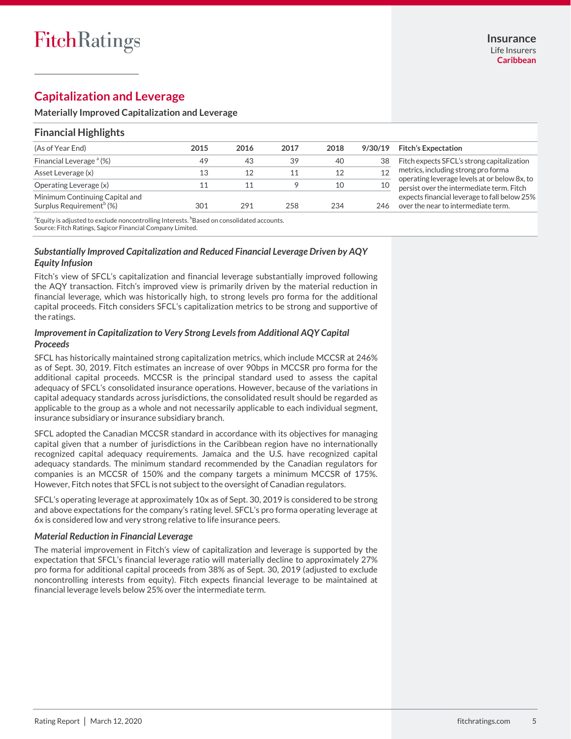# **Capitalization and Leverage**

#### **Materially Improved Capitalization and Leverage**

## **Financial Highlights**

| (As of Year End)                                                       | 2015 | 2016 | 2017 | 2018 | 9/30/19 | <b>Fitch's Expectation</b>                                                                |
|------------------------------------------------------------------------|------|------|------|------|---------|-------------------------------------------------------------------------------------------|
| Financial Leverage <sup>a</sup> (%)                                    | 49   | 43   | 39   | 40   | 38      | Fitch expects SFCL's strong capitalization                                                |
| Asset Leverage (x)                                                     |      | 12   |      | 12   | 12      | metrics, including strong pro forma                                                       |
| Operating Leverage (x)                                                 |      |      |      | 10   | 10      | operating leverage levels at or below 8x, to<br>persist over the intermediate term. Fitch |
| Minimum Continuing Capital and<br>Surplus Requirement <sup>o</sup> (%) | 301  | 291  | 258  | 234  | 246.    | expects financial leverage to fall below 25%<br>over the near to intermediate term.       |

<sup>a</sup>Equity is adjusted to exclude noncontrolling Interests. <sup>b</sup>Based on consolidated accounts. Source: Fitch Ratings, Sagicor Financial Company Limited.

## *Substantially Improved Capitalization and Reduced Financial Leverage Driven by AQY Equity Infusion*

Fitch's view of SFCL's capitalization and financial leverage substantially improved following the AQY transaction. Fitch's improved view is primarily driven by the material reduction in financial leverage, which was historically high, to strong levels pro forma for the additional capital proceeds. Fitch considers SFCL's capitalization metrics to be strong and supportive of the ratings.

## *Improvement in Capitalization to Very Strong Levels from Additional AQY Capital Proceeds*

SFCL has historically maintained strong capitalization metrics, which include MCCSR at 246% as of Sept. 30, 2019. Fitch estimates an increase of over 90bps in MCCSR pro forma for the additional capital proceeds. MCCSR is the principal standard used to assess the capital adequacy of SFCL's consolidated insurance operations. However, because of the variations in capital adequacy standards across jurisdictions, the consolidated result should be regarded as applicable to the group as a whole and not necessarily applicable to each individual segment, insurance subsidiary or insurance subsidiary branch.

SFCL adopted the Canadian MCCSR standard in accordance with its objectives for managing capital given that a number of jurisdictions in the Caribbean region have no internationally recognized capital adequacy requirements. Jamaica and the U.S. have recognized capital adequacy standards. The minimum standard recommended by the Canadian regulators for companies is an MCCSR of 150% and the company targets a minimum MCCSR of 175%. However, Fitch notes that SFCL is not subject to the oversight of Canadian regulators.

SFCL's operating leverage at approximately 10x as of Sept. 30, 2019 is considered to be strong and above expectations for the company's rating level. SFCL's pro forma operating leverage at 6x is considered low and very strong relative to life insurance peers.

#### *Material Reduction in Financial Leverage*

The material improvement in Fitch's view of capitalization and leverage is supported by the expectation that SFCL's financial leverage ratio will materially decline to approximately 27% pro forma for additional capital proceeds from 38% as of Sept. 30, 2019 (adjusted to exclude noncontrolling interests from equity). Fitch expects financial leverage to be maintained at financial leverage levels below 25% over the intermediate term.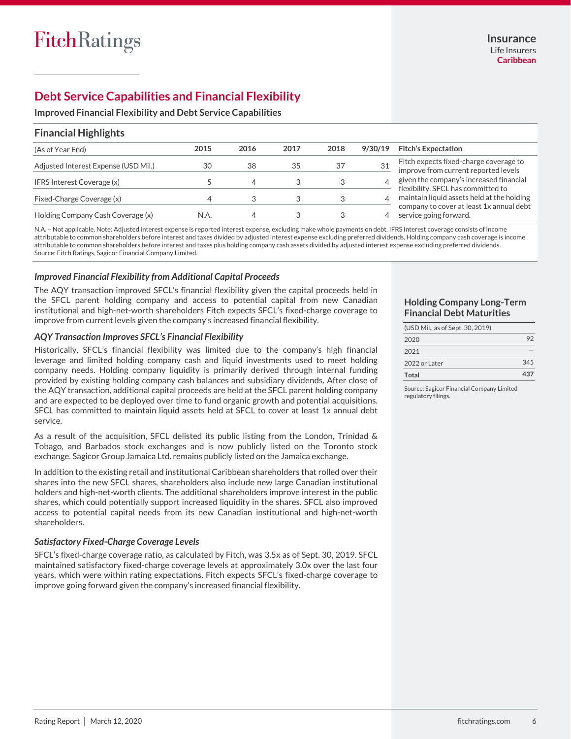# **Debt Service Capabilities and Financial Flexibility**

**Improved Financial Flexibility and Debt Service Capabilities**

## **Financial Highlights**

| (As of Year End)                     | 2015 | 2016 | 2017 | 2018 | 9/30/19 | <b>Fitch's Expectation</b>                                                       |
|--------------------------------------|------|------|------|------|---------|----------------------------------------------------------------------------------|
| Adjusted Interest Expense (USD Mil.) | 30   | 38   | 35   | 37   |         | Fitch expects fixed-charge coverage to<br>improve from current reported levels   |
| IFRS Interest Coverage (x)           |      | △    |      |      |         | given the company's increased financial                                          |
| Fixed-Charge Coverage (x)            |      |      |      |      | 4       | flexibility. SFCL has committed to<br>maintain liquid assets held at the holding |
| Holding Company Cash Coverage (x)    | N.A. | 4    |      |      |         | company to cover at least 1x annual debt<br>service going forward.               |

N.A. – Not applicable. Note: Adjusted interest expense is reported interest expense, excluding make whole payments on debt. IFRS interest coverage consists of income attributable to common shareholders before interest and taxes divided by adjusted interest expense excluding preferred dividends. Holding company cash coverage is income attributable to common shareholders before interest and taxes plus holding company cash assets divided by adjusted interest expense excluding preferred dividends. Source: Fitch Ratings, Sagicor Financial Company Limited.

## *Improved Financial Flexibility from Additional Capital Proceeds*

The AQY transaction improved SFCL's financial flexibility given the capital proceeds held in the SFCL parent holding company and access to potential capital from new Canadian institutional and high-net-worth shareholders Fitch expects SFCL's fixed-charge coverage to improve from current levels given the company's increased financial flexibility.

#### *AQY Transaction Improves SFCL's Financial Flexibility*

Historically, SFCL's financial flexibility was limited due to the company's high financial leverage and limited holding company cash and liquid investments used to meet holding company needs. Holding company liquidity is primarily derived through internal funding provided by existing holding company cash balances and subsidiary dividends. After close of the AQY transaction, additional capital proceeds are held at the SFCL parent holding company and are expected to be deployed over time to fund organic growth and potential acquisitions. SFCL has committed to maintain liquid assets held at SFCL to cover at least 1x annual debt service.

As a result of the acquisition, SFCL delisted its public listing from the London, Trinidad & Tobago, and Barbados stock exchanges and is now publicly listed on the Toronto stock exchange. Sagicor Group Jamaica Ltd. remains publicly listed on the Jamaica exchange.

In addition to the existing retail and institutional Caribbean shareholders that rolled over their shares into the new SFCL shares, shareholders also include new large Canadian institutional holders and high-net-worth clients. The additional shareholders improve interest in the public shares, which could potentially support increased liquidity in the shares. SFCL also improved access to potential capital needs from its new Canadian institutional and high-net-worth shareholders.

#### *Satisfactory Fixed-Charge Coverage Levels*

SFCL's fixed-charge coverage ratio, as calculated by Fitch, was 3.5x as of Sept. 30, 2019. SFCL maintained satisfactory fixed-charge coverage levels at approximately 3.0x over the last four years, which were within rating expectations. Fitch expects SFCL's fixed-charge coverage to improve going forward given the company's increased financial flexibility.

## **Holding Company Long-Term Financial Debt Maturities**

| (USD Mil., as of Sept. 30, 2019) |     |
|----------------------------------|-----|
| 2020                             | 92  |
| 2021                             |     |
| 2022 or Later                    | 345 |
| Total                            | 437 |

Source: Sagicor Financial Company Limited regulatory filings.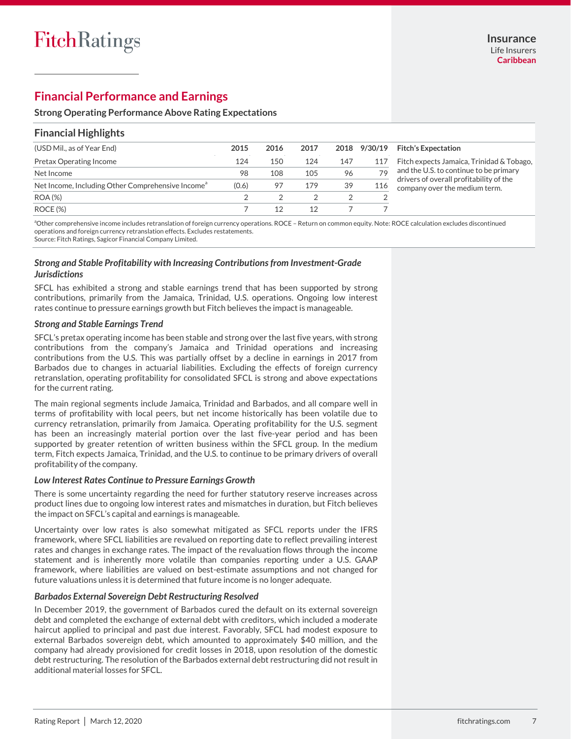# **Financial Performance and Earnings**

#### **Strong Operating Performance Above Rating Expectations**

## **Financial Highlights**

| (USD Mil., as of Year End)                                    | 2015  | 2016 | 2017 | 2018 | 9/30/19 | <b>Fitch's Expectation</b>                                               |
|---------------------------------------------------------------|-------|------|------|------|---------|--------------------------------------------------------------------------|
| Pretax Operating Income                                       | 124   | 150  | 124  | 147  | 117     | Fitch expects Jamaica, Trinidad & Tobago,                                |
| Net Income                                                    | 98    | 108  | 105  | 96   | 79      | and the U.S. to continue to be primary                                   |
| Net Income, Including Other Comprehensive Income <sup>a</sup> | (0.6) | 97   | 179  | 39   | 116     | drivers of overall profitability of the<br>company over the medium term. |
| ROA (%)                                                       |       |      |      |      |         |                                                                          |
| ROCE (%)                                                      |       | 12   |      |      |         |                                                                          |

a Other comprehensive income includes retranslation of foreign currency operations. ROCE – Return on common equity. Note: ROCE calculation excludes discontinued operations and foreign currency retranslation effects. Excludes restatements. Source: Fitch Ratings, Sagicor Financial Company Limited.

#### *Strong and Stable Profitability with Increasing Contributions from Investment-Grade Jurisdictions*

SFCL has exhibited a strong and stable earnings trend that has been supported by strong contributions, primarily from the Jamaica, Trinidad, U.S. operations. Ongoing low interest rates continue to pressure earnings growth but Fitch believes the impact is manageable.

#### *Strong and Stable Earnings Trend*

SFCL's pretax operating income has been stable and strong over the last five years, with strong contributions from the company's Jamaica and Trinidad operations and increasing contributions from the U.S. This was partially offset by a decline in earnings in 2017 from Barbados due to changes in actuarial liabilities. Excluding the effects of foreign currency retranslation, operating profitability for consolidated SFCL is strong and above expectations for the current rating.

The main regional segments include Jamaica, Trinidad and Barbados, and all compare well in terms of profitability with local peers, but net income historically has been volatile due to currency retranslation, primarily from Jamaica. Operating profitability for the U.S. segment has been an increasingly material portion over the last five-year period and has been supported by greater retention of written business within the SFCL group. In the medium term, Fitch expects Jamaica, Trinidad, and the U.S. to continue to be primary drivers of overall profitability of the company.

#### *Low Interest Rates Continue to Pressure Earnings Growth*

There is some uncertainty regarding the need for further statutory reserve increases across product lines due to ongoing low interest rates and mismatches in duration, but Fitch believes the impact on SFCL's capital and earnings is manageable.

Uncertainty over low rates is also somewhat mitigated as SFCL reports under the IFRS framework, where SFCL liabilities are revalued on reporting date to reflect prevailing interest rates and changes in exchange rates. The impact of the revaluation flows through the income statement and is inherently more volatile than companies reporting under a U.S. GAAP framework, where liabilities are valued on best-estimate assumptions and not changed for future valuations unless it is determined that future income is no longer adequate.

#### *Barbados External Sovereign Debt Restructuring Resolved*

In December 2019, the government of Barbados cured the default on its external sovereign debt and completed the exchange of external debt with creditors, which included a moderate haircut applied to principal and past due interest. Favorably, SFCL had modest exposure to external Barbados sovereign debt, which amounted to approximately \$40 million, and the company had already provisioned for credit losses in 2018, upon resolution of the domestic debt restructuring. The resolution of the Barbados external debt restructuring did not result in additional material losses for SFCL.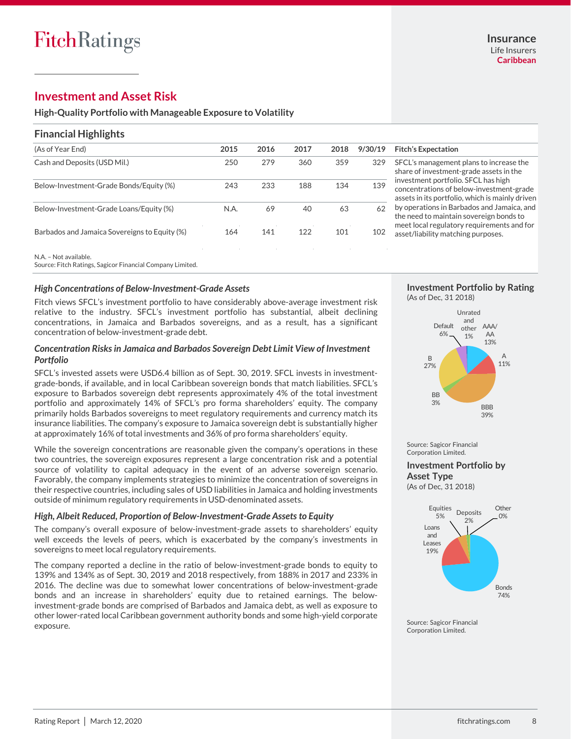# **Investment and Asset Risk**

**High-Quality Portfolio with Manageable Exposure to Volatility**

## **Financial Highlights**

| (As of Year End)                              | 2015 | 2016 | 2017 | 2018 | 9/30/19 |
|-----------------------------------------------|------|------|------|------|---------|
| Cash and Deposits (USD Mil.)                  | 250  | 279  | 360  | 359  | 329     |
| Below-Investment-Grade Bonds/Equity (%)       | 243  | 233  | 188  | 134  | 139     |
| Below-Investment-Grade Loans/Equity (%)       | N.A. | 69   | 40   | 63   | 62      |
| Barbados and Jamaica Sovereigns to Equity (%) | 164  | 141  | 122  | 101  | 102     |

#### (As of Year End) **2015 2016 2017 2018 9/30/19 Fitch's Expectation**

CL's management plans to increase the re of investment-grade assets in the estment portfolio. SFCL has high centrations of below-investment-grade ets in its portfolio, which is mainly driven by operations in Barbados and Jamaica, and need to maintain sovereign bonds to et local regulatory requirements and for et/liability matching purposes.

N.A. – Not available.

Source: Fitch Ratings, Sagicor Financial Company Limited.

#### *High Concentrations of Below-Investment-Grade Assets*

Fitch views SFCL's investment portfolio to have considerably above-average investment risk relative to the industry. SFCL's investment portfolio has substantial, albeit declining concentrations, in Jamaica and Barbados sovereigns, and as a result, has a significant concentration of below-investment-grade debt.

#### *Concentration Risks in Jamaica and Barbados Sovereign Debt Limit View of Investment Portfolio*

SFCL's invested assets were USD6.4 billion as of Sept. 30, 2019. SFCL invests in investmentgrade-bonds, if available, and in local Caribbean sovereign bonds that match liabilities. SFCL's exposure to Barbados sovereign debt represents approximately 4% of the total investment portfolio and approximately 14% of SFCL's pro forma shareholders' equity. The company primarily holds Barbados sovereigns to meet regulatory requirements and currency match its insurance liabilities. The company's exposure to Jamaica sovereign debt is substantially higher at approximately 16% of total investments and 36% of pro forma shareholders' equity.

While the sovereign concentrations are reasonable given the company's operations in these two countries, the sovereign exposures represent a large concentration risk and a potential source of volatility to capital adequacy in the event of an adverse sovereign scenario. Favorably, the company implements strategies to minimize the concentration of sovereigns in their respective countries, including sales of USD liabilities in Jamaica and holding investments outside of minimum regulatory requirements in USD-denominated assets.

#### *High, Albeit Reduced, Proportion of Below-Investment-Grade Assets to Equity*

The company's overall exposure of below-investment-grade assets to shareholders' equity well exceeds the levels of peers, which is exacerbated by the company's investments in sovereigns to meet local regulatory requirements.

The company reported a decline in the ratio of below-investment-grade bonds to equity to 139% and 134% as of Sept. 30, 2019 and 2018 respectively, from 188% in 2017 and 233% in 2016. The decline was due to somewhat lower concentrations of below-investment-grade bonds and an increase in shareholders' equity due to retained earnings. The belowinvestment-grade bonds are comprised of Barbados and Jamaica debt, as well as exposure to other lower-rated local Caribbean government authority bonds and some high-yield corporate exposure.

#### **Investment Portfolio by Rating** (As of Dec, 31 2018)



Source: Sagicor Financial Corporation Limited.

**Investment Portfolio by Asset Type**

(As of Dec, 31 2018)



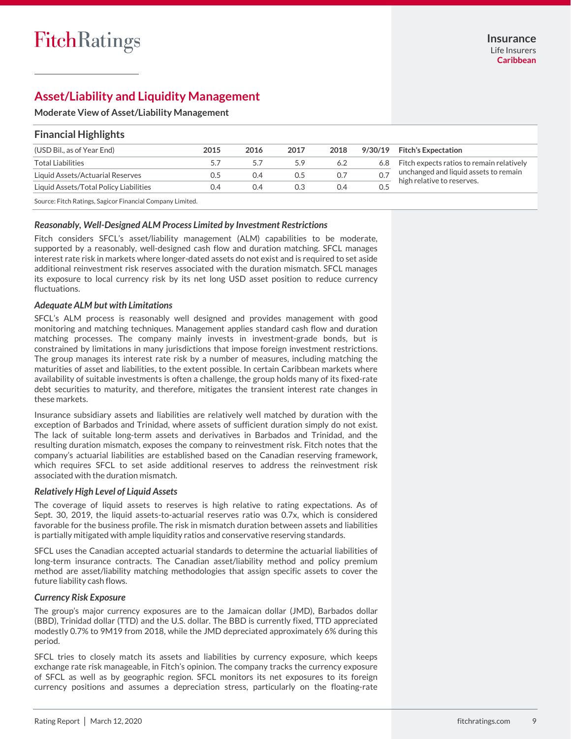# **Asset/Liability and Liquidity Management**

#### **Moderate View of Asset/Liability Management**

| <b>Financial Highlights</b>            |      |      |      |      |         |                                           |  |  |  |  |
|----------------------------------------|------|------|------|------|---------|-------------------------------------------|--|--|--|--|
| (USD Bil., as of Year End)             | 2015 | 2016 | 2017 | 2018 | 9/30/19 | <b>Fitch's Expectation</b>                |  |  |  |  |
| <b>Total Liabilities</b>               |      | 5.7  | 5.9  | 6.2  | 6.8     | Fitch expects ratios to remain relatively |  |  |  |  |
| Liquid Assets/Actuarial Reserves       | U.5  | 0.4  | 0.5  | 0.7  | 0.7     | unchanged and liquid assets to remain     |  |  |  |  |
| Liquid Assets/Total Policy Liabilities | 0.4  | 0.4  | 0.3  | 0.4  | 0.5     | high relative to reserves.                |  |  |  |  |

Source: Fitch Ratings, Sagicor Financial Company Limited.

#### *Reasonably, Well-Designed ALM Process Limited by Investment Restrictions*

Fitch considers SFCL's asset/liability management (ALM) capabilities to be moderate, supported by a reasonably, well-designed cash flow and duration matching. SFCL manages interest rate risk in markets where longer-dated assets do not exist and is required to set aside additional reinvestment risk reserves associated with the duration mismatch. SFCL manages its exposure to local currency risk by its net long USD asset position to reduce currency fluctuations.

#### *Adequate ALM but with Limitations*

SFCL's ALM process is reasonably well designed and provides management with good monitoring and matching techniques. Management applies standard cash flow and duration matching processes. The company mainly invests in investment-grade bonds, but is constrained by limitations in many jurisdictions that impose foreign investment restrictions. The group manages its interest rate risk by a number of measures, including matching the maturities of asset and liabilities, to the extent possible. In certain Caribbean markets where availability of suitable investments is often a challenge, the group holds many of its fixed-rate debt securities to maturity, and therefore, mitigates the transient interest rate changes in these markets.

Insurance subsidiary assets and liabilities are relatively well matched by duration with the exception of Barbados and Trinidad, where assets of sufficient duration simply do not exist. The lack of suitable long-term assets and derivatives in Barbados and Trinidad, and the resulting duration mismatch, exposes the company to reinvestment risk. Fitch notes that the company's actuarial liabilities are established based on the Canadian reserving framework, which requires SFCL to set aside additional reserves to address the reinvestment risk associated with the duration mismatch.

#### *Relatively High Level of Liquid Assets*

The coverage of liquid assets to reserves is high relative to rating expectations. As of Sept. 30, 2019, the liquid assets-to-actuarial reserves ratio was 0.7x, which is considered favorable for the business profile. The risk in mismatch duration between assets and liabilities is partially mitigated with ample liquidity ratios and conservative reserving standards.

SFCL uses the Canadian accepted actuarial standards to determine the actuarial liabilities of long-term insurance contracts. The Canadian asset/liability method and policy premium method are asset/liability matching methodologies that assign specific assets to cover the future liability cash flows.

#### *Currency Risk Exposure*

The group's major currency exposures are to the Jamaican dollar (JMD), Barbados dollar (BBD), Trinidad dollar (TTD) and the U.S. dollar. The BBD is currently fixed, TTD appreciated modestly 0.7% to 9M19 from 2018, while the JMD depreciated approximately 6% during this period.

SFCL tries to closely match its assets and liabilities by currency exposure, which keeps exchange rate risk manageable, in Fitch's opinion. The company tracks the currency exposure of SFCL as well as by geographic region. SFCL monitors its net exposures to its foreign currency positions and assumes a depreciation stress, particularly on the floating-rate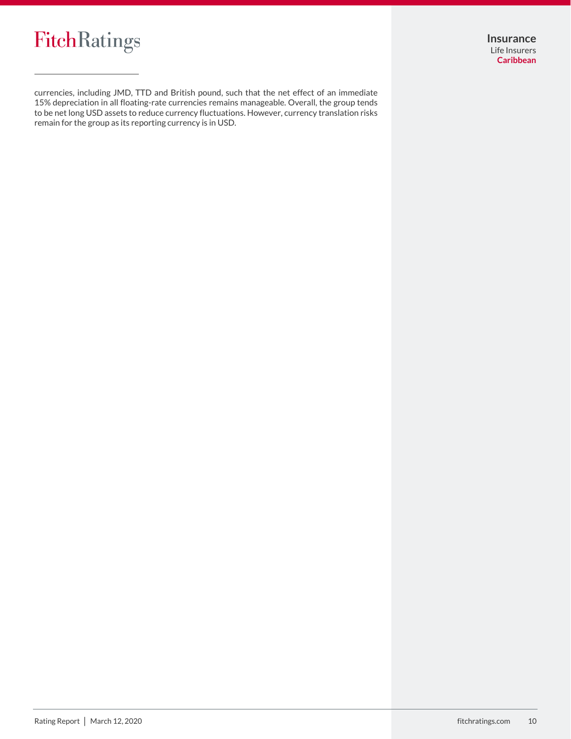

**Insurance** Life Insurers **Caribbean**

currencies, including JMD, TTD and British pound, such that the net effect of an immediate 15% depreciation in all floating-rate currencies remains manageable. Overall, the group tends to be net long USD assets to reduce currency fluctuations. However, currency translation risks remain for the group as its reporting currency is in USD.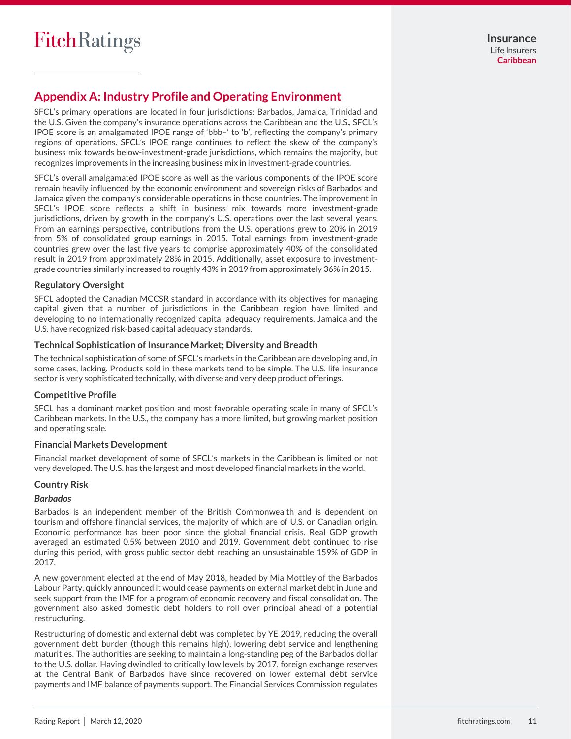# **Appendix A: Industry Profile and Operating Environment**

SFCL's primary operations are located in four jurisdictions: Barbados, Jamaica, Trinidad and the U.S. Given the company's insurance operations across the Caribbean and the U.S., SFCL's IPOE score is an amalgamated IPOE range of 'bbb–' to 'b', reflecting the company's primary regions of operations. SFCL's IPOE range continues to reflect the skew of the company's business mix towards below-investment-grade jurisdictions, which remains the majority, but recognizes improvements in the increasing business mix in investment-grade countries.

SFCL's overall amalgamated IPOE score as well as the various components of the IPOE score remain heavily influenced by the economic environment and sovereign risks of Barbados and Jamaica given the company's considerable operations in those countries. The improvement in SFCL's IPOE score reflects a shift in business mix towards more investment-grade jurisdictions, driven by growth in the company's U.S. operations over the last several years. From an earnings perspective, contributions from the U.S. operations grew to 20% in 2019 from 5% of consolidated group earnings in 2015. Total earnings from investment-grade countries grew over the last five years to comprise approximately 40% of the consolidated result in 2019 from approximately 28% in 2015. Additionally, asset exposure to investmentgrade countries similarly increased to roughly 43% in 2019 from approximately 36% in 2015.

## **Regulatory Oversight**

SFCL adopted the Canadian MCCSR standard in accordance with its objectives for managing capital given that a number of jurisdictions in the Caribbean region have limited and developing to no internationally recognized capital adequacy requirements. Jamaica and the U.S. have recognized risk-based capital adequacy standards.

#### **Technical Sophistication of Insurance Market; Diversity and Breadth**

The technical sophistication of some of SFCL's markets in the Caribbean are developing and, in some cases, lacking. Products sold in these markets tend to be simple. The U.S. life insurance sector is very sophisticated technically, with diverse and very deep product offerings.

## **Competitive Profile**

SFCL has a dominant market position and most favorable operating scale in many of SFCL's Caribbean markets. In the U.S., the company has a more limited, but growing market position and operating scale.

#### **Financial Markets Development**

Financial market development of some of SFCL's markets in the Caribbean is limited or not very developed. The U.S. has the largest and most developed financial markets in the world.

## **Country Risk**

#### *Barbados*

Barbados is an independent member of the British Commonwealth and is dependent on tourism and offshore financial services, the majority of which are of U.S. or Canadian origin. Economic performance has been poor since the global financial crisis. Real GDP growth averaged an estimated 0.5% between 2010 and 2019. Government debt continued to rise during this period, with gross public sector debt reaching an unsustainable 159% of GDP in 2017.

A new government elected at the end of May 2018, headed by Mia Mottley of the Barbados Labour Party, quickly announced it would cease payments on external market debt in June and seek support from the IMF for a program of economic recovery and fiscal consolidation. The government also asked domestic debt holders to roll over principal ahead of a potential restructuring.

Restructuring of domestic and external debt was completed by YE 2019, reducing the overall government debt burden (though this remains high), lowering debt service and lengthening maturities. The authorities are seeking to maintain a long-standing peg of the Barbados dollar to the U.S. dollar. Having dwindled to critically low levels by 2017, foreign exchange reserves at the Central Bank of Barbados have since recovered on lower external debt service payments and IMF balance of payments support. The Financial Services Commission regulates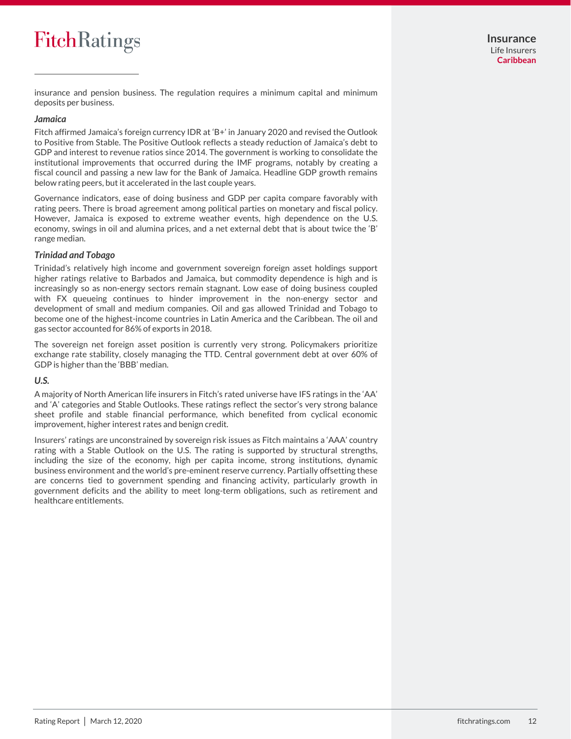# **FitchRatings**

insurance and pension business. The regulation requires a minimum capital and minimum deposits per business.

#### *Jamaica*

Fitch affirmed Jamaica's foreign currency IDR at 'B+' in January 2020 and revised the Outlook to Positive from Stable. The Positive Outlook reflects a steady reduction of Jamaica's debt to GDP and interest to revenue ratios since 2014. The government is working to consolidate the institutional improvements that occurred during the IMF programs, notably by creating a fiscal council and passing a new law for the Bank of Jamaica. Headline GDP growth remains below rating peers, but it accelerated in the last couple years.

Governance indicators, ease of doing business and GDP per capita compare favorably with rating peers. There is broad agreement among political parties on monetary and fiscal policy. However, Jamaica is exposed to extreme weather events, high dependence on the U.S. economy, swings in oil and alumina prices, and a net external debt that is about twice the 'B' range median.

#### *Trinidad and Tobago*

Trinidad's relatively high income and government sovereign foreign asset holdings support higher ratings relative to Barbados and Jamaica, but commodity dependence is high and is increasingly so as non-energy sectors remain stagnant. Low ease of doing business coupled with FX queueing continues to hinder improvement in the non-energy sector and development of small and medium companies. Oil and gas allowed Trinidad and Tobago to become one of the highest-income countries in Latin America and the Caribbean. The oil and gas sector accounted for 86% of exports in 2018.

The sovereign net foreign asset position is currently very strong. Policymakers prioritize exchange rate stability, closely managing the TTD. Central government debt at over 60% of GDP is higher than the 'BBB' median.

#### *U.S.*

A majority of North American life insurers in Fitch's rated universe have IFS ratings in the 'AA' and 'A' categories and Stable Outlooks. These ratings reflect the sector's very strong balance sheet profile and stable financial performance, which benefited from cyclical economic improvement, higher interest rates and benign credit.

Insurers' ratings are unconstrained by sovereign risk issues as Fitch maintains a 'AAA' country rating with a Stable Outlook on the U.S. The rating is supported by structural strengths, including the size of the economy, high per capita income, strong institutions, dynamic business environment and the world's pre-eminent reserve currency. Partially offsetting these are concerns tied to government spending and financing activity, particularly growth in government deficits and the ability to meet long-term obligations, such as retirement and healthcare entitlements.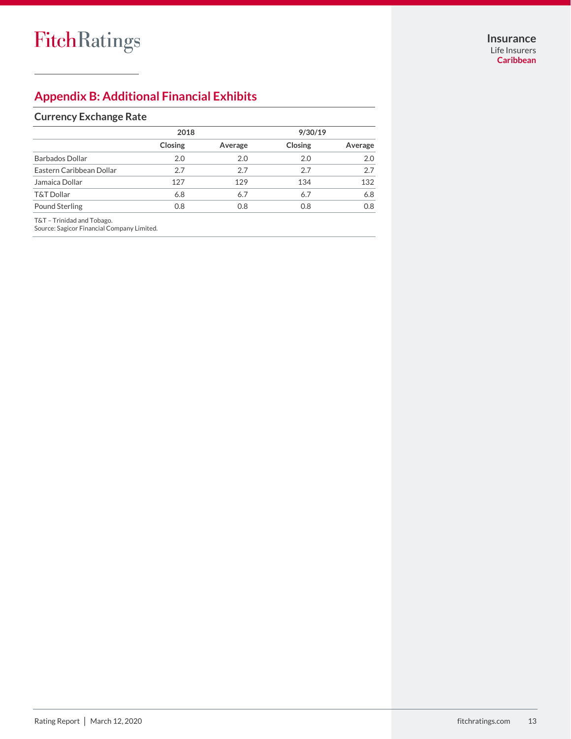# **Appendix B: Additional Financial Exhibits**

## **Currency Exchange Rate**

|                          | 2018    |         | 9/30/19 |         |
|--------------------------|---------|---------|---------|---------|
|                          | Closing | Average | Closing | Average |
| <b>Barbados Dollar</b>   | 2.0     | 2.0     | 2.0     | 2.0     |
| Eastern Caribbean Dollar | 2.7     | 2.7     | 2.7     | 27      |
| Jamaica Dollar           | 127     | 129     | 134     | 132     |
| <b>T&amp;T Dollar</b>    | 6.8     | 6.7     | 6.7     | 6.8     |
| <b>Pound Sterling</b>    | 0.8     | 0.8     | 0.8     | 0.8     |

T&T – Trinidad and Tobago.

Source: Sagicor Financial Company Limited.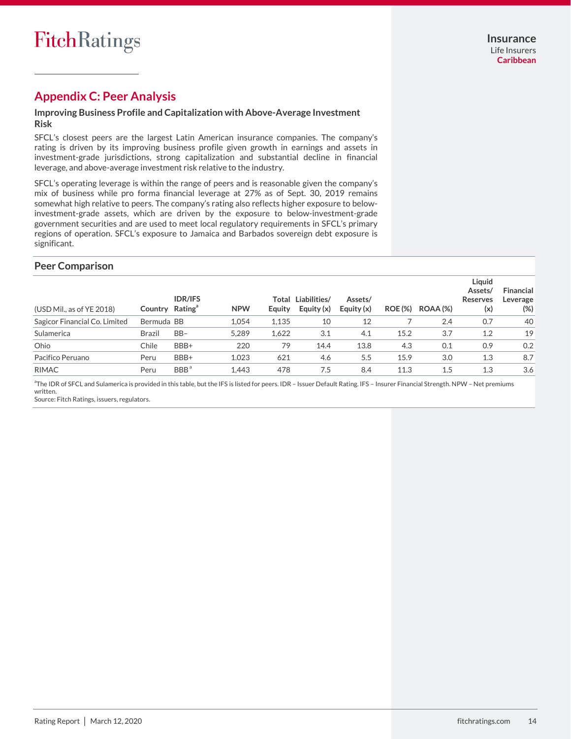## **Appendix C: Peer Analysis**

## **Improving Business Profile and Capitalization with Above-Average Investment Risk**

SFCL's closest peers are the largest Latin American insurance companies. The company's rating is driven by its improving business profile given growth in earnings and assets in investment-grade jurisdictions, strong capitalization and substantial decline in financial leverage, and above-average investment risk relative to the industry.

SFCL's operating leverage is within the range of peers and is reasonable given the company's mix of business while pro forma financial leverage at 27% as of Sept. 30, 2019 remains somewhat high relative to peers. The company's rating also reflects higher exposure to belowinvestment-grade assets, which are driven by the exposure to below-investment-grade government securities and are used to meet local regulatory requirements in SFCL's primary regions of operation. SFCL's exposure to Jamaica and Barbados sovereign debt exposure is significant.

## **Peer Comparison**

| (USD Mil., as of YE 2018)     | Country Rating <sup>a</sup> | <b>IDR/IFS</b>   | <b>NPW</b> | Total<br>Equity | Liabilities/<br>Equity (x) | Assets/<br>Equity $(x)$ | <b>ROE</b> (%) | ROAA(%) | Liquid<br>Assets/<br>Reserves<br>(x) | <b>Financial</b><br>Leverage<br>$(\%)$ |
|-------------------------------|-----------------------------|------------------|------------|-----------------|----------------------------|-------------------------|----------------|---------|--------------------------------------|----------------------------------------|
| Sagicor Financial Co. Limited | Bermuda BB                  |                  | 1.054      | 1,135           | 10                         | 12                      |                | 2.4     | 0.7                                  | 40                                     |
| Sulamerica                    | <b>Brazil</b>               | $BB-$            | 5.289      | 1.622           | 3.1                        | 4.1                     | 15.2           | 3.7     | 1.2                                  | 19                                     |
| Ohio                          | Chile                       | BBB+             | 220        | 79              | 14.4                       | 13.8                    | 4.3            | 0.1     | 0.9                                  | 0.2                                    |
| Pacifico Peruano              | Peru                        | BBB+             | 1.023      | 621             | 4.6                        | 5.5                     | 15.9           | 3.0     | 1.3                                  | 8.7                                    |
| <b>RIMAC</b>                  | Peru                        | BBB <sup>a</sup> | 1.443      | 478             | 7.5                        | 8.4                     | 11.3           | 1.5     | 1.3                                  | 3.6                                    |

<sup>a</sup>The IDR of SFCL and Sulamerica is provided in this table, but the IFS is listed for peers. IDR – Issuer Default Rating. IFS – Insurer Financial Strength. NPW – Net premiums written.

Source: Fitch Ratings, issuers, regulators.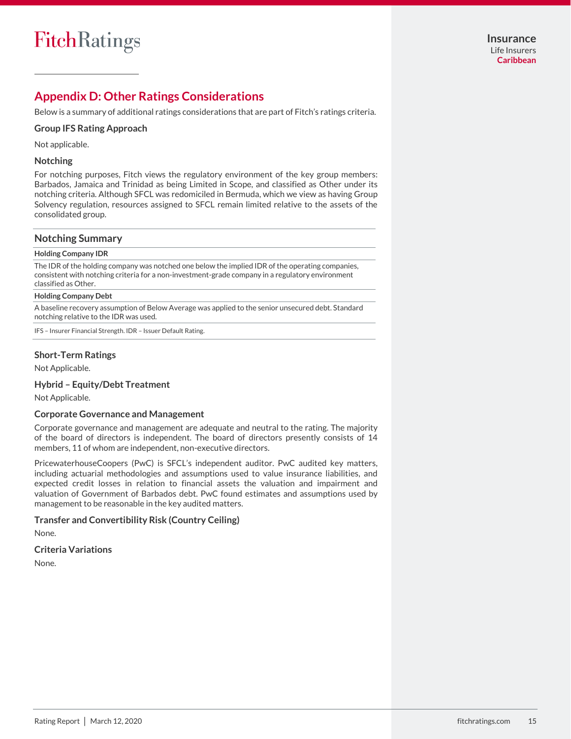# **Appendix D: Other Ratings Considerations**

Below is a summary of additional ratings considerations that are part of Fitch's ratings criteria.

#### **Group IFS Rating Approach**

Not applicable.

#### **Notching**

For notching purposes, Fitch views the regulatory environment of the key group members: Barbados, Jamaica and Trinidad as being Limited in Scope, and classified as Other under its notching criteria. Although SFCL was redomiciled in Bermuda, which we view as having Group Solvency regulation, resources assigned to SFCL remain limited relative to the assets of the consolidated group.

#### **Notching Summary**

#### **Holding Company IDR**

The IDR of the holding company was notched one below the implied IDR of the operating companies, consistent with notching criteria for a non-investment-grade company in a regulatory environment classified as Other.

#### **Holding Company Debt**

A baseline recovery assumption of Below Average was applied to the senior unsecured debt. Standard notching relative to the IDR was used.

IFS – Insurer Financial Strength. IDR – Issuer Default Rating.

#### **Short-Term Ratings**

Not Applicable.

#### **Hybrid – Equity/Debt Treatment**

Not Applicable.

#### **Corporate Governance and Management**

Corporate governance and management are adequate and neutral to the rating. The majority of the board of directors is independent. The board of directors presently consists of 14 members, 11 of whom are independent, non-executive directors.

PricewaterhouseCoopers (PwC) is SFCL's independent auditor. PwC audited key matters, including actuarial methodologies and assumptions used to value insurance liabilities, and expected credit losses in relation to financial assets the valuation and impairment and valuation of Government of Barbados debt. PwC found estimates and assumptions used by management to be reasonable in the key audited matters.

#### **Transfer and Convertibility Risk (Country Ceiling)**

None.

#### **Criteria Variations**

None.